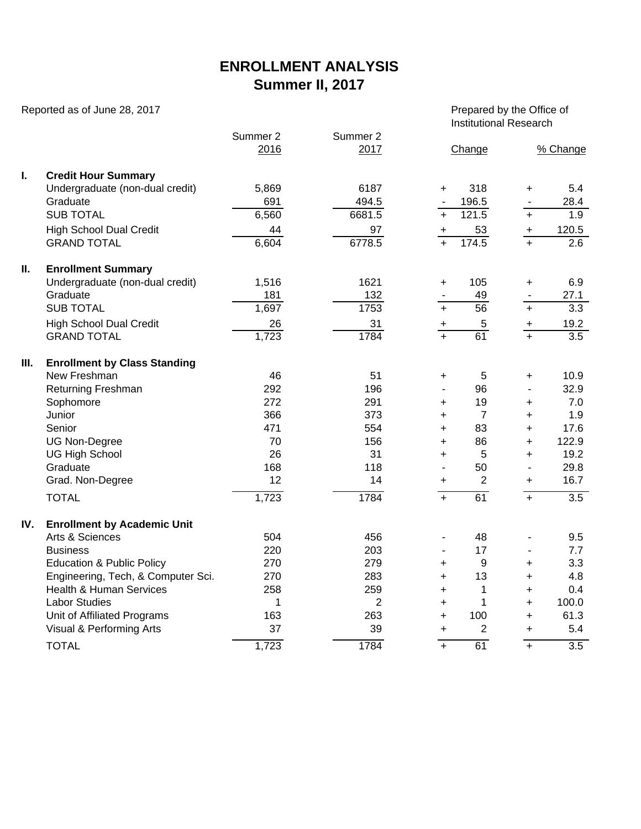## **ENROLLMENT ANALYSIS Summer II, 2017**

Reported as of June 28, 2017 **Prepared by the Office of**  $\blacksquare$ 

Institutional Research

|     |                                      |                  |                  | 111            |                |                |                  |  |
|-----|--------------------------------------|------------------|------------------|----------------|----------------|----------------|------------------|--|
|     |                                      | Summer 2<br>2016 | Summer 2<br>2017 |                | Change         |                | % Change         |  |
| I.  | <b>Credit Hour Summary</b>           |                  |                  |                |                |                |                  |  |
|     | Undergraduate (non-dual credit)      | 5,869            | 6187             | $+$            | 318            | $\ddot{}$      | 5.4              |  |
|     | Graduate                             | 691              | 494.5            |                | 196.5          |                | 28.4             |  |
|     | <b>SUB TOTAL</b>                     | 6,560            | 6681.5           | $\ddot{}$      | 121.5          | $+$            | $\overline{1.9}$ |  |
|     | <b>High School Dual Credit</b>       | 44               | 97               | $+$            | 53             | $\ddot{}$      | 120.5            |  |
|     | <b>GRAND TOTAL</b>                   | 6,604            | 6778.5           | $\overline{+}$ | 174.5          | $\overline{+}$ | $\overline{2.6}$ |  |
| ΙΙ. | <b>Enrollment Summary</b>            |                  |                  |                |                |                |                  |  |
|     | Undergraduate (non-dual credit)      | 1,516            | 1621             | $\ddot{}$      | 105            | $\ddot{}$      | 6.9              |  |
|     | Graduate                             | 181              | 132              |                | 49             |                | 27.1             |  |
|     | <b>SUB TOTAL</b>                     | 1,697            | 1753             | $+$            | 56             | $\ddot{}$      | 3.3              |  |
|     | <b>High School Dual Credit</b>       | 26               | 31               | +              | 5              | $+$            | 19.2             |  |
|     | <b>GRAND TOTAL</b>                   | 1,723            | 1784             | $\overline{+}$ | 61             | $\ddot{+}$     | $\overline{3.5}$ |  |
| Ш.  | <b>Enrollment by Class Standing</b>  |                  |                  |                |                |                |                  |  |
|     | New Freshman                         | 46               | 51               | +              | 5              | +              | 10.9             |  |
|     | Returning Freshman                   | 292              | 196              | $\overline{a}$ | 96             | ä,             | 32.9             |  |
|     | Sophomore                            | 272              | 291              | $\ddot{}$      | 19             | $\ddot{}$      | 7.0              |  |
|     | Junior                               | 366              | 373              | $\ddot{}$      | $\overline{7}$ | $\ddot{}$      | 1.9              |  |
|     | Senior                               | 471              | 554              | $\ddot{}$      | 83             | $\ddot{}$      | 17.6             |  |
|     | <b>UG Non-Degree</b>                 | 70               | 156              | $\ddot{}$      | 86             | $\ddot{}$      | 122.9            |  |
|     | <b>UG High School</b>                | 26               | 31               | $\ddot{}$      | 5              | $\ddot{}$      | 19.2             |  |
|     | Graduate                             | 168              | 118              | $\overline{a}$ | 50             | $\blacksquare$ | 29.8             |  |
|     | Grad. Non-Degree                     | 12               | 14               | $\ddot{}$      | $\overline{2}$ | +              | 16.7             |  |
|     | <b>TOTAL</b>                         | 1,723            | 1784             | $\ddot{+}$     | 61             | $+$            | $\overline{3.5}$ |  |
| IV. | <b>Enrollment by Academic Unit</b>   |                  |                  |                |                |                |                  |  |
|     | Arts & Sciences                      | 504              | 456              | $\blacksquare$ | 48             |                | 9.5              |  |
|     | <b>Business</b>                      | 220              | 203              |                | 17             |                | 7.7              |  |
|     | <b>Education &amp; Public Policy</b> | 270              | 279              | $\ddot{}$      | 9              | $\ddot{}$      | 3.3              |  |
|     | Engineering, Tech, & Computer Sci.   | 270              | 283              | $\ddot{}$      | 13             | $\ddot{}$      | 4.8              |  |
|     | <b>Health &amp; Human Services</b>   | 258              | 259              | $\ddot{}$      | 1              | $\ddot{}$      | 0.4              |  |
|     | <b>Labor Studies</b>                 | 1                | $\overline{2}$   | $\ddot{}$      | $\mathbf{1}$   | $\ddot{}$      | 100.0            |  |
|     | Unit of Affiliated Programs          | 163              | 263              | $\ddot{}$      | 100            | $\ddot{}$      | 61.3             |  |
|     | Visual & Performing Arts             | 37               | 39               | $\ddot{}$      | $\overline{2}$ | $\ddot{}$      | 5.4              |  |
|     | <b>TOTAL</b>                         | 1,723            | 1784             | $\ddot{}$      | 61             | $+$            | $\overline{3.5}$ |  |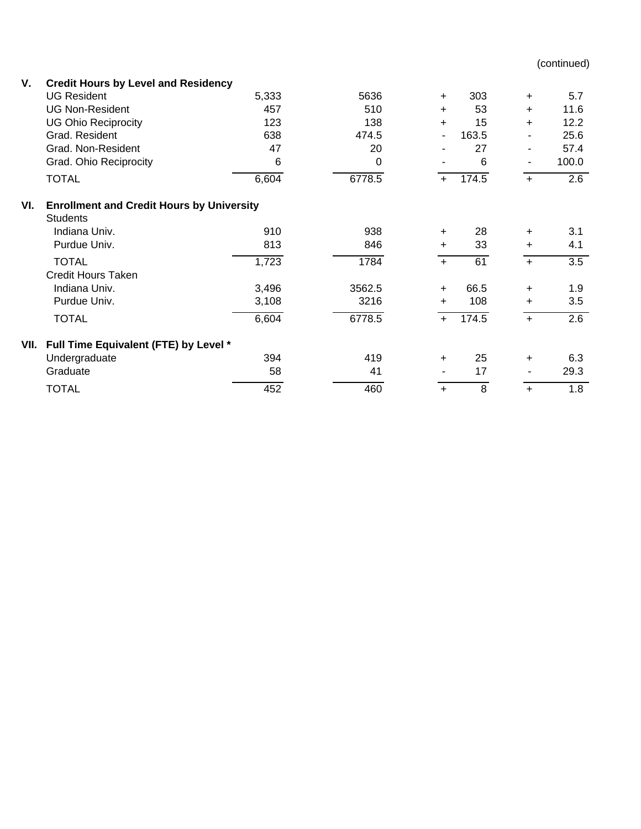(continued)

| V.   | <b>Credit Hours by Level and Residency</b>                          |       |        |                |       |           |       |  |  |  |  |  |
|------|---------------------------------------------------------------------|-------|--------|----------------|-------|-----------|-------|--|--|--|--|--|
|      | <b>UG Resident</b>                                                  | 5,333 | 5636   | $+$            | 303   | $+$       | 5.7   |  |  |  |  |  |
|      | <b>UG Non-Resident</b>                                              | 457   | 510    | $+$            | 53    | $\ddot{}$ | 11.6  |  |  |  |  |  |
|      | <b>UG Ohio Reciprocity</b>                                          | 123   | 138    | $+$            | 15    | $\ddot{}$ | 12.2  |  |  |  |  |  |
|      | Grad, Resident                                                      | 638   | 474.5  | $\blacksquare$ | 163.5 |           | 25.6  |  |  |  |  |  |
|      | Grad. Non-Resident                                                  | 47    | 20     |                | 27    |           | 57.4  |  |  |  |  |  |
|      | Grad. Ohio Reciprocity                                              | 6     | 0      |                | 6     | ۰         | 100.0 |  |  |  |  |  |
|      | <b>TOTAL</b>                                                        | 6,604 | 6778.5 | $+$            | 174.5 | $\ddot{}$ | 2.6   |  |  |  |  |  |
| VI.  | <b>Enrollment and Credit Hours by University</b><br><b>Students</b> |       |        |                |       |           |       |  |  |  |  |  |
|      | Indiana Univ.                                                       | 910   | 938    | $\ddot{}$      | 28    | +         | 3.1   |  |  |  |  |  |
|      | Purdue Univ.                                                        | 813   | 846    | $\ddot{}$      | 33    | $\ddot{}$ | 4.1   |  |  |  |  |  |
|      | <b>TOTAL</b><br><b>Credit Hours Taken</b>                           | 1,723 | 1784   | $+$            | 61    | $+$       | 3.5   |  |  |  |  |  |
|      | Indiana Univ.                                                       | 3,496 | 3562.5 | $\ddot{}$      | 66.5  | +         | 1.9   |  |  |  |  |  |
|      | Purdue Univ.                                                        | 3,108 | 3216   | $\ddot{}$      | 108   | $\ddot{}$ | 3.5   |  |  |  |  |  |
|      | <b>TOTAL</b>                                                        | 6,604 | 6778.5 | $\ddot{}$      | 174.5 | $\ddot{}$ | 2.6   |  |  |  |  |  |
| VII. | Full Time Equivalent (FTE) by Level *                               |       |        |                |       |           |       |  |  |  |  |  |
|      | Undergraduate                                                       | 394   | 419    | $\ddot{}$      | 25    | +         | 6.3   |  |  |  |  |  |
|      | Graduate                                                            | 58    | 41     |                | 17    |           | 29.3  |  |  |  |  |  |
|      | <b>TOTAL</b>                                                        | 452   | 460    | $\ddot{}$      | 8     | $\ddot{}$ | 1.8   |  |  |  |  |  |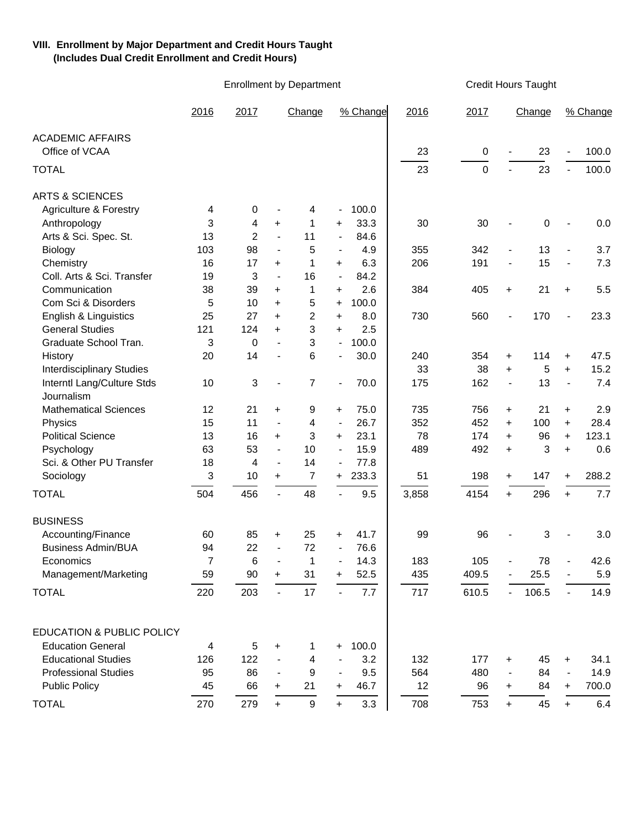## **VIII. Enrollment by Major Department and Credit Hours Taught (Includes Dual Credit Enrollment and Credit Hours)**

Enrollment by Department Credit Hours Taught

|                                      | 2016 | 2017   |                          | Change           |                          | % Change | 2016  | 2017        |                          | Change |                          | % Change |
|--------------------------------------|------|--------|--------------------------|------------------|--------------------------|----------|-------|-------------|--------------------------|--------|--------------------------|----------|
| <b>ACADEMIC AFFAIRS</b>              |      |        |                          |                  |                          |          |       |             |                          |        |                          |          |
| Office of VCAA                       |      |        |                          |                  |                          |          | 23    | 0           |                          | 23     | $\overline{a}$           | 100.0    |
| <b>TOTAL</b>                         |      |        |                          |                  |                          |          | 23    | $\mathbf 0$ |                          | 23     | $\blacksquare$           | 100.0    |
| <b>ARTS &amp; SCIENCES</b>           |      |        |                          |                  |                          |          |       |             |                          |        |                          |          |
| <b>Agriculture &amp; Forestry</b>    | 4    | 0      |                          | 4                |                          | 100.0    |       |             |                          |        |                          |          |
| Anthropology                         | 3    | 4      | $\ddot{}$                | 1                | +                        | 33.3     | 30    | 30          |                          | 0      |                          | 0.0      |
| Arts & Sci. Spec. St.                | 13   | 2      | $\blacksquare$           | 11               | $\overline{\phantom{a}}$ | 84.6     |       |             |                          |        |                          |          |
| Biology                              | 103  | 98     | $\overline{\phantom{a}}$ | 5                | $\overline{\phantom{a}}$ | 4.9      | 355   | 342         | $\overline{\phantom{a}}$ | 13     | $\overline{\phantom{a}}$ | 3.7      |
| Chemistry                            | 16   | 17     | $\ddot{}$                | 1                | +                        | 6.3      | 206   | 191         | $\overline{\phantom{a}}$ | 15     | $\blacksquare$           | 7.3      |
| Coll. Arts & Sci. Transfer           | 19   | 3      | $\overline{\phantom{a}}$ | 16               | $\overline{\phantom{a}}$ | 84.2     |       |             |                          |        |                          |          |
| Communication                        | 38   | 39     | +                        | 1                | $\ddot{}$                | 2.6      | 384   | 405         | $\ddot{}$                | 21     | $\ddot{}$                | 5.5      |
| Com Sci & Disorders                  | 5    | 10     | $\ddot{}$                | 5                | $\ddot{}$                | 100.0    |       |             |                          |        |                          |          |
| English & Linguistics                | 25   | 27     | $\ddot{}$                | $\overline{c}$   | +                        | 8.0      | 730   | 560         |                          | 170    |                          | 23.3     |
| <b>General Studies</b>               | 121  | 124    | $\ddot{}$                | 3                | $\ddot{}$                | 2.5      |       |             |                          |        |                          |          |
| Graduate School Tran.                | 3    | 0      |                          | 3                | $\overline{\phantom{a}}$ | 100.0    |       |             |                          |        |                          |          |
| History                              | 20   | 14     |                          | 6                |                          | 30.0     | 240   | 354         | $\ddot{}$                | 114    | +                        | 47.5     |
| <b>Interdisciplinary Studies</b>     |      |        |                          |                  |                          |          | 33    | 38          | $\ddot{}$                | 5      | $+$                      | 15.2     |
| Interntl Lang/Culture Stds           | 10   | 3      |                          | 7                |                          | 70.0     | 175   | 162         | $\overline{\phantom{a}}$ | 13     | $\overline{\phantom{a}}$ | 7.4      |
| Journalism                           |      |        |                          |                  |                          |          |       |             |                          |        |                          |          |
| <b>Mathematical Sciences</b>         | 12   | 21     | +                        | 9                | +                        | 75.0     | 735   | 756         | $\ddot{}$                | 21     | $\ddot{}$                | 2.9      |
| Physics                              | 15   | 11     | $\overline{\phantom{a}}$ | 4                | $\overline{\phantom{a}}$ | 26.7     | 352   | 452         | $+$                      | 100    | $+$                      | 28.4     |
| <b>Political Science</b>             | 13   | 16     | $\ddot{}$                | 3                | +                        | 23.1     | 78    | 174         | $\ddot{}$                | 96     | $+$                      | 123.1    |
| Psychology                           | 63   | 53     | $\overline{\phantom{a}}$ | 10               |                          | 15.9     | 489   | 492         | $\ddot{}$                | 3      | $\ddot{}$                | 0.6      |
| Sci. & Other PU Transfer             | 18   | 4      | $\overline{\phantom{a}}$ | 14               |                          | 77.8     |       |             |                          |        |                          |          |
| Sociology                            | 3    | 10     | $\ddot{}$                | 7                | $\ddot{}$                | 233.3    | 51    | 198         | $\ddot{}$                | 147    | $\ddot{}$                | 288.2    |
| <b>TOTAL</b>                         | 504  | 456    | $\blacksquare$           | 48               |                          | 9.5      | 3,858 | 4154        | $+$                      | 296    | $+$                      | 7.7      |
| <b>BUSINESS</b>                      |      |        |                          |                  |                          |          |       |             |                          |        |                          |          |
| Accounting/Finance                   | 60   | 85     | $+$                      | 25               | +                        | 41.7     | 99    | 96          |                          | 3      |                          | 3.0      |
| <b>Business Admin/BUA</b>            | 94   | 22     | $\overline{\phantom{a}}$ | 72               |                          | 76.6     |       |             |                          |        |                          |          |
| Economics                            | 7    | 6      | $\blacksquare$           | 1                |                          | 14.3     | 183   | 105         |                          | 78     |                          | 42.6     |
| Management/Marketing                 | 59   | $90\,$ | +                        | 31               | +                        | 52.5     | 435   | 409.5       |                          | 25.5   |                          | 5.9      |
|                                      |      |        |                          |                  |                          |          |       |             |                          |        |                          |          |
| <b>TOTAL</b>                         | 220  | 203    | $\overline{\phantom{a}}$ | 17               |                          | 7.7      | 717   | 610.5       |                          | 106.5  |                          | 14.9     |
| <b>EDUCATION &amp; PUBLIC POLICY</b> |      |        |                          |                  |                          |          |       |             |                          |        |                          |          |
| <b>Education General</b>             | 4    | 5      | $\pm$                    | 1                | +                        | 100.0    |       |             |                          |        |                          |          |
| <b>Educational Studies</b>           | 126  | 122    |                          | 4                |                          | 3.2      | 132   | 177         | +                        | 45     | $\ddot{}$                | 34.1     |
| <b>Professional Studies</b>          | 95   | 86     |                          | 9                |                          | 9.5      | 564   | 480         |                          | 84     | $\overline{\phantom{a}}$ | 14.9     |
| <b>Public Policy</b>                 | 45   | 66     | $\pm$                    | 21               | +                        | 46.7     | 12    | 96          | +                        | 84     | $\ddot{}$                | 700.0    |
|                                      |      |        |                          |                  |                          |          |       |             |                          |        |                          |          |
| <b>TOTAL</b>                         | 270  | 279    | $+$                      | $\boldsymbol{9}$ | $\ddot{}$                | 3.3      | 708   | 753         | $+$                      | 45     | $+$                      | 6.4      |